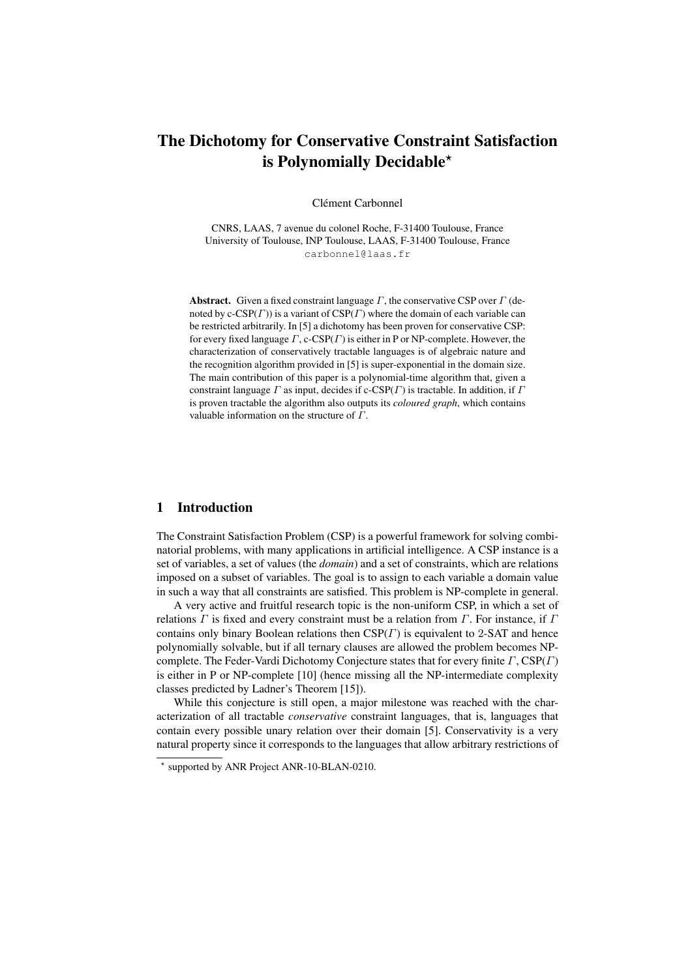# The Dichotomy for Conservative Constraint Satisfaction is Polynomially Decidable\*

Clément Carbonnel

CNRS, LAAS, 7 avenue du colonel Roche, F-31400 Toulouse, France University of Toulouse, INP Toulouse, LAAS, F-31400 Toulouse, France carbonnel@laas.fr

**Abstract.** Given a fixed constraint language  $\Gamma$ , the conservative CSP over  $\Gamma$  (denoted by c-CSP( $\Gamma$ )) is a variant of CSP( $\Gamma$ ) where the domain of each variable can be restricted arbitrarily. In [5] a dichotomy has been proven for conservative CSP: for every fixed language  $\Gamma$ , c-CSP( $\Gamma$ ) is either in P or NP-complete. However, the characterization of conservatively tractable languages is of algebraic nature and the recognition algorithm provided in [5] is super-exponential in the domain size. The main contribution of this paper is a polynomial-time algorithm that, given a constraint language  $\Gamma$  as input, decides if c-CSP( $\Gamma$ ) is tractable. In addition, if  $\Gamma$ is proven tractable the algorithm also outputs its *coloured graph*, which contains valuable information on the structure of Γ.

# 1 Introduction

The Constraint Satisfaction Problem (CSP) is a powerful framework for solving combinatorial problems, with many applications in artificial intelligence. A CSP instance is a set of variables, a set of values (the *domain*) and a set of constraints, which are relations imposed on a subset of variables. The goal is to assign to each variable a domain value in such a way that all constraints are satisfied. This problem is NP-complete in general.

A very active and fruitful research topic is the non-uniform CSP, in which a set of relations  $\Gamma$  is fixed and every constraint must be a relation from  $\Gamma$ . For instance, if  $\Gamma$ contains only binary Boolean relations then  $CSP(\Gamma)$  is equivalent to 2-SAT and hence polynomially solvable, but if all ternary clauses are allowed the problem becomes NPcomplete. The Feder-Vardi Dichotomy Conjecture states that for every finite  $\Gamma$ , CSP( $\Gamma$ ) is either in P or NP-complete [10] (hence missing all the NP-intermediate complexity classes predicted by Ladner's Theorem [15]).

While this conjecture is still open, a major milestone was reached with the characterization of all tractable *conservative* constraint languages, that is, languages that contain every possible unary relation over their domain [5]. Conservativity is a very natural property since it corresponds to the languages that allow arbitrary restrictions of

<sup>?</sup> supported by ANR Project ANR-10-BLAN-0210.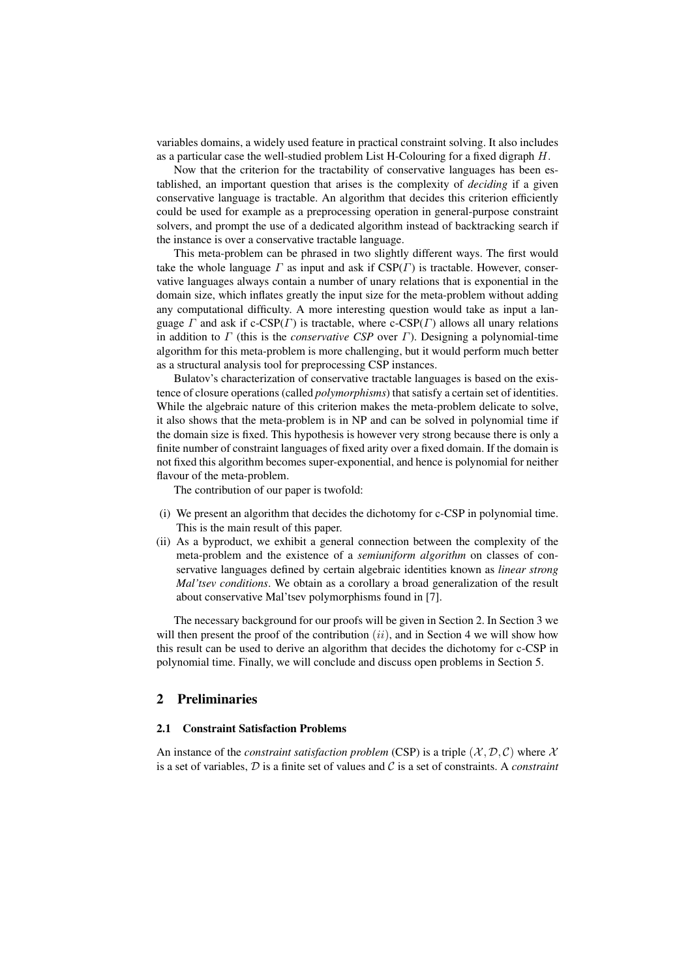variables domains, a widely used feature in practical constraint solving. It also includes as a particular case the well-studied problem List H-Colouring for a fixed digraph  $H$ .

Now that the criterion for the tractability of conservative languages has been established, an important question that arises is the complexity of *deciding* if a given conservative language is tractable. An algorithm that decides this criterion efficiently could be used for example as a preprocessing operation in general-purpose constraint solvers, and prompt the use of a dedicated algorithm instead of backtracking search if the instance is over a conservative tractable language.

This meta-problem can be phrased in two slightly different ways. The first would take the whole language  $\Gamma$  as input and ask if  $CSP(\Gamma)$  is tractable. However, conservative languages always contain a number of unary relations that is exponential in the domain size, which inflates greatly the input size for the meta-problem without adding any computational difficulty. A more interesting question would take as input a language  $\Gamma$  and ask if c-CSP( $\Gamma$ ) is tractable, where c-CSP( $\Gamma$ ) allows all unary relations in addition to  $\Gamma$  (this is the *conservative CSP* over  $\Gamma$ ). Designing a polynomial-time algorithm for this meta-problem is more challenging, but it would perform much better as a structural analysis tool for preprocessing CSP instances.

Bulatov's characterization of conservative tractable languages is based on the existence of closure operations (called *polymorphisms*) that satisfy a certain set of identities. While the algebraic nature of this criterion makes the meta-problem delicate to solve, it also shows that the meta-problem is in NP and can be solved in polynomial time if the domain size is fixed. This hypothesis is however very strong because there is only a finite number of constraint languages of fixed arity over a fixed domain. If the domain is not fixed this algorithm becomes super-exponential, and hence is polynomial for neither flavour of the meta-problem.

The contribution of our paper is twofold:

- (i) We present an algorithm that decides the dichotomy for c-CSP in polynomial time. This is the main result of this paper.
- (ii) As a byproduct, we exhibit a general connection between the complexity of the meta-problem and the existence of a *semiuniform algorithm* on classes of conservative languages defined by certain algebraic identities known as *linear strong Mal'tsev conditions*. We obtain as a corollary a broad generalization of the result about conservative Mal'tsev polymorphisms found in [7].

The necessary background for our proofs will be given in Section 2. In Section 3 we will then present the proof of the contribution  $(ii)$ , and in Section 4 we will show how this result can be used to derive an algorithm that decides the dichotomy for c-CSP in polynomial time. Finally, we will conclude and discuss open problems in Section 5.

# 2 Preliminaries

#### 2.1 Constraint Satisfaction Problems

An instance of the *constraint satisfaction problem* (CSP) is a triple  $(\mathcal{X}, \mathcal{D}, \mathcal{C})$  where  $\mathcal{X}$ is a set of variables, D is a finite set of values and C is a set of constraints. A *constraint*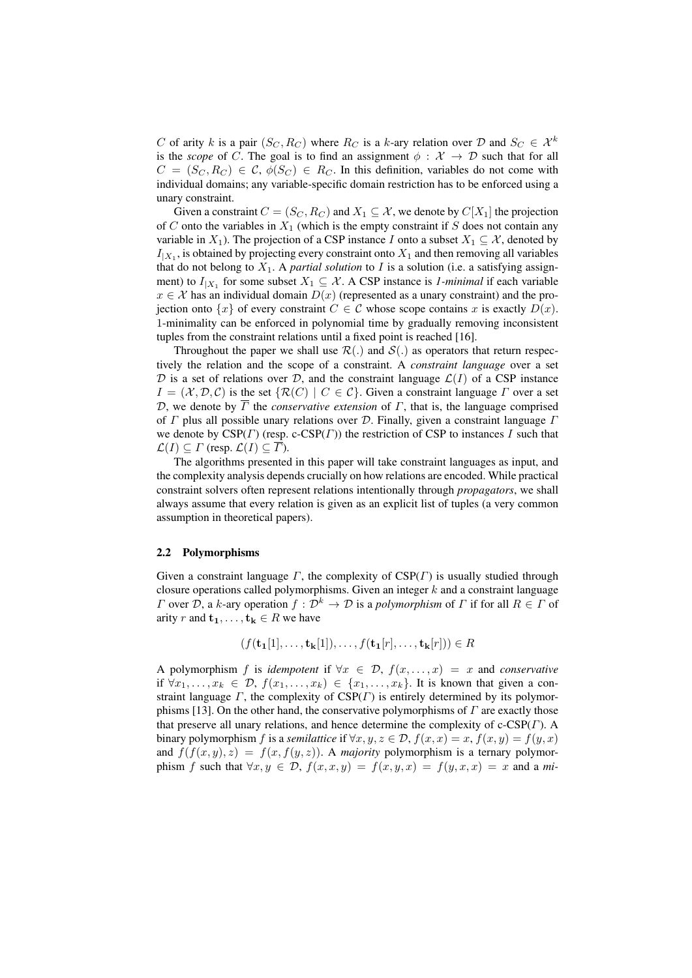C of arity k is a pair  $(S_C, R_C)$  where  $R_C$  is a k-ary relation over D and  $S_C \in \mathcal{X}^k$ is the *scope* of C. The goal is to find an assignment  $\phi : \mathcal{X} \to \mathcal{D}$  such that for all  $C = (S_C, R_C) \in C$ ,  $\phi(S_C) \in R_C$ . In this definition, variables do not come with individual domains; any variable-specific domain restriction has to be enforced using a unary constraint.

Given a constraint  $C = (S_C, R_C)$  and  $X_1 \subseteq \mathcal{X}$ , we denote by  $C[X_1]$  the projection of  $C$  onto the variables in  $X_1$  (which is the empty constraint if  $S$  does not contain any variable in  $X_1$ ). The projection of a CSP instance I onto a subset  $X_1 \subseteq \mathcal{X}$ , denoted by  $I_{|X_1}$ , is obtained by projecting every constraint onto  $X_1$  and then removing all variables that do not belong to  $X_1$ . A *partial solution* to I is a solution (i.e. a satisfying assignment) to  $I_{|X_1}$  for some subset  $X_1 \subseteq \mathcal{X}$ . A CSP instance is *1-minimal* if each variable  $x \in \mathcal{X}$  has an individual domain  $D(x)$  (represented as a unary constraint) and the projection onto  $\{x\}$  of every constraint  $C \in \mathcal{C}$  whose scope contains x is exactly  $D(x)$ . 1-minimality can be enforced in polynomial time by gradually removing inconsistent tuples from the constraint relations until a fixed point is reached [16].

Throughout the paper we shall use  $\mathcal{R}(.)$  and  $\mathcal{S}(.)$  as operators that return respectively the relation and the scope of a constraint. A *constraint language* over a set D is a set of relations over D, and the constraint language  $\mathcal{L}(I)$  of a CSP instance  $I = (\mathcal{X}, \mathcal{D}, \mathcal{C})$  is the set  $\{ \mathcal{R}(C) \mid C \in \mathcal{C} \}$ . Given a constraint language  $\Gamma$  over a set D, we denote by  $\overline{\Gamma}$  the *conservative extension* of  $\Gamma$ , that is, the language comprised of  $\Gamma$  plus all possible unary relations over  $\mathcal D$ . Finally, given a constraint language  $\Gamma$ we denote by  $CSP(\Gamma)$  (resp. c-CSP( $\Gamma$ )) the restriction of CSP to instances I such that  $\mathcal{L}(I) \subseteq \Gamma$  (resp.  $\mathcal{L}(I) \subseteq \overline{\Gamma}$ ).

The algorithms presented in this paper will take constraint languages as input, and the complexity analysis depends crucially on how relations are encoded. While practical constraint solvers often represent relations intentionally through *propagators*, we shall always assume that every relation is given as an explicit list of tuples (a very common assumption in theoretical papers).

#### 2.2 Polymorphisms

Given a constraint language  $\Gamma$ , the complexity of  $CSP(\Gamma)$  is usually studied through closure operations called polymorphisms. Given an integer  $k$  and a constraint language Γ over D, a k-ary operation f : D<sup>k</sup> → D is a *polymorphism* of Γ if for all R ∈ Γ of arity r and  $t_1, \ldots, t_k \in R$  we have

$$
(f(\mathbf{t_1}[1],\ldots,\mathbf{t_k}[1]),\ldots,f(\mathbf{t_1}[r],\ldots,\mathbf{t_k}[r])) \in R
$$

A polymorphism f is *idempotent* if  $\forall x \in \mathcal{D}, f(x, \ldots, x) = x$  and *conservative* if  $\forall x_1, \ldots, x_k \in \mathcal{D}, f(x_1, \ldots, x_k) \in \{x_1, \ldots, x_k\}.$  It is known that given a constraint language  $\Gamma$ , the complexity of  $CSP(\Gamma)$  is entirely determined by its polymorphisms [13]. On the other hand, the conservative polymorphisms of  $\Gamma$  are exactly those that preserve all unary relations, and hence determine the complexity of  $c$ -CSP $(\Gamma)$ . A binary polymorphism f is a *semilattice* if  $\forall x, y, z \in \mathcal{D}$ ,  $f(x, x) = x$ ,  $f(x, y) = f(y, x)$ and  $f(f(x, y), z) = f(x, f(y, z))$ . A *majority* polymorphism is a ternary polymorphism f such that  $\forall x, y \in \mathcal{D}$ ,  $f(x, x, y) = f(x, y, x) = f(y, x, x) = x$  and a *mi*-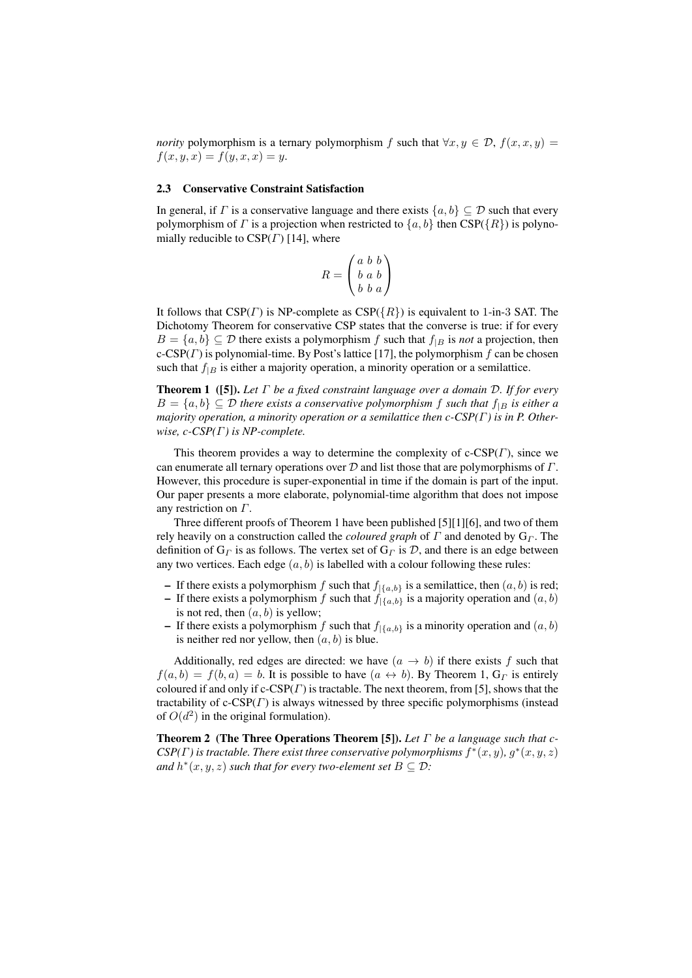*nority* polymorphism is a ternary polymorphism f such that  $\forall x, y \in \mathcal{D}$ ,  $f(x, x, y) =$  $f(x, y, x) = f(y, x, x) = y.$ 

#### 2.3 Conservative Constraint Satisfaction

In general, if  $\Gamma$  is a conservative language and there exists  $\{a, b\} \subseteq \mathcal{D}$  such that every polymorphism of  $\Gamma$  is a projection when restricted to  $\{a, b\}$  then CSP( $\{R\}$ ) is polynomially reducible to  $CSP(\Gamma)$  [14], where

$$
R = \begin{pmatrix} a & b & b \\ b & a & b \\ b & b & a \end{pmatrix}
$$

It follows that  $CSP(\Gamma)$  is NP-complete as  $CSP({R})$  is equivalent to 1-in-3 SAT. The Dichotomy Theorem for conservative CSP states that the converse is true: if for every  $B = \{a, b\} \subseteq \mathcal{D}$  there exists a polymorphism f such that  $f_{|B}$  is *not* a projection, then c-CSP( $\Gamma$ ) is polynomial-time. By Post's lattice [17], the polymorphism  $f$  can be chosen such that  $f_{|B}$  is either a majority operation, a minority operation or a semilattice.

Theorem 1 ([5]). *Let* Γ *be a fixed constraint language over a domain* D*. If for every*  $B = \{a, b\} \subseteq \mathcal{D}$  there exists a conservative polymorphism f such that  $f_{|B}$  is either a *majority operation, a minority operation or a semilattice then c-CSP(*Γ*) is in P. Otherwise, c-CSP(*Γ*) is NP-complete.*

This theorem provides a way to determine the complexity of  $c\text{-CSP}(T)$ , since we can enumerate all ternary operations over  $D$  and list those that are polymorphisms of  $\Gamma$ . However, this procedure is super-exponential in time if the domain is part of the input. Our paper presents a more elaborate, polynomial-time algorithm that does not impose any restriction on Γ.

Three different proofs of Theorem 1 have been published [5][1][6], and two of them rely heavily on a construction called the *coloured graph* of  $\Gamma$  and denoted by  $G_{\Gamma}$ . The definition of  $G_{\Gamma}$  is as follows. The vertex set of  $G_{\Gamma}$  is D, and there is an edge between any two vertices. Each edge  $(a, b)$  is labelled with a colour following these rules:

- If there exists a polymorphism f such that  $f_{\vert {\{a,b\}}}$  is a semilattice, then  $(a, b)$  is red;
- If there exists a polymorphism f such that  $f_{|\{a,b\}}$  is a majority operation and  $(a, b)$ is not red, then  $(a, b)$  is yellow;
- If there exists a polymorphism f such that  $f_{|\{a,b\}}$  is a minority operation and  $(a, b)$ is neither red nor yellow, then  $(a, b)$  is blue.

Additionally, red edges are directed: we have  $(a \rightarrow b)$  if there exists f such that  $f(a, b) = f(b, a) = b$ . It is possible to have  $(a \leftrightarrow b)$ . By Theorem 1,  $G_{\Gamma}$  is entirely coloured if and only if  $c\text{-CSP}(T)$  is tractable. The next theorem, from [5], shows that the tractability of  $c$ -CSP( $\Gamma$ ) is always witnessed by three specific polymorphisms (instead of  $O(d^2)$  in the original formulation).

Theorem 2 (The Three Operations Theorem [5]). *Let* Γ *be a language such that c-* $CSP(\Gamma)$  is tractable. There exist three conservative polymorphisms  $f^*(x, y)$ ,  $g^*(x, y, z)$ and  $h^*(x, y, z)$  *such that for every two-element set*  $B \subseteq \mathcal{D}$ *:*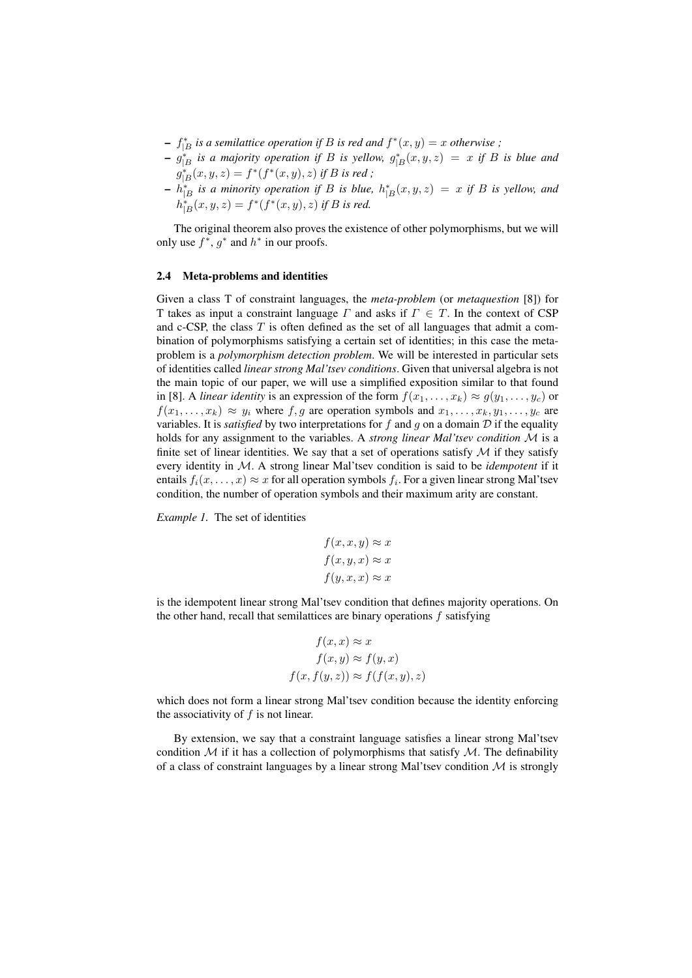- $f_{|B}^*$  *is a semilattice operation if B is red and*  $f^*(x, y) = x$  *otherwise*;
- $g_{|B}^*$  *is a majority operation if* B *is yellow,*  $g_{|B}^*(x, y, z) = x$  *if* B *is blue and*  $g_{|B}^*(x, y, z) = f^*(f^*(x, y), z)$  *if B is red*;
- $\mathcal{L} = h_{|B}^{*}$  *is a minority operation if* B *is blue,*  $h_{|B}^{*}(x, y, z) = x$  *if* B *is yellow, and*  $h_{|B}^{*}(x, y, z) = f^{*}(f^{*}(x, y), z)$  if B is red.

The original theorem also proves the existence of other polymorphisms, but we will only use  $f^*$ ,  $g^*$  and  $h^*$  in our proofs.

#### 2.4 Meta-problems and identities

Given a class T of constraint languages, the *meta-problem* (or *metaquestion* [8]) for T takes as input a constraint language  $\Gamma$  and asks if  $\Gamma \in \Gamma$ . In the context of CSP and c-CSP, the class  $T$  is often defined as the set of all languages that admit a combination of polymorphisms satisfying a certain set of identities; in this case the metaproblem is a *polymorphism detection problem*. We will be interested in particular sets of identities called *linear strong Mal'tsev conditions*. Given that universal algebra is not the main topic of our paper, we will use a simplified exposition similar to that found in [8]. A *linear identity* is an expression of the form  $f(x_1, \ldots, x_k) \approx g(y_1, \ldots, y_c)$  or  $f(x_1, \ldots, x_k) \approx y_i$  where f, g are operation symbols and  $x_1, \ldots, x_k, y_1, \ldots, y_c$  are variables. It is *satisfied* by two interpretations for  $f$  and  $g$  on a domain  $D$  if the equality holds for any assignment to the variables. A *strong linear Mal'tsev condition* M is a finite set of linear identities. We say that a set of operations satisfy  $\mathcal M$  if they satisfy every identity in M. A strong linear Mal'tsev condition is said to be *idempotent* if it entails  $f_i(x, \ldots, x) \approx x$  for all operation symbols  $f_i$ . For a given linear strong Mal'tsev condition, the number of operation symbols and their maximum arity are constant.

*Example 1.* The set of identities

$$
f(x, x, y) \approx x
$$

$$
f(x, y, x) \approx x
$$

$$
f(y, x, x) \approx x
$$

is the idempotent linear strong Mal'tsev condition that defines majority operations. On the other hand, recall that semilattices are binary operations  $f$  satisfying

$$
f(x, x) \approx x
$$

$$
f(x, y) \approx f(y, x)
$$

$$
f(x, f(y, z)) \approx f(f(x, y), z)
$$

which does not form a linear strong Mal'tsev condition because the identity enforcing the associativity of  $f$  is not linear.

By extension, we say that a constraint language satisfies a linear strong Mal'tsev condition  $\mathcal M$  if it has a collection of polymorphisms that satisfy  $\mathcal M$ . The definability of a class of constraint languages by a linear strong Mal'tsev condition  $M$  is strongly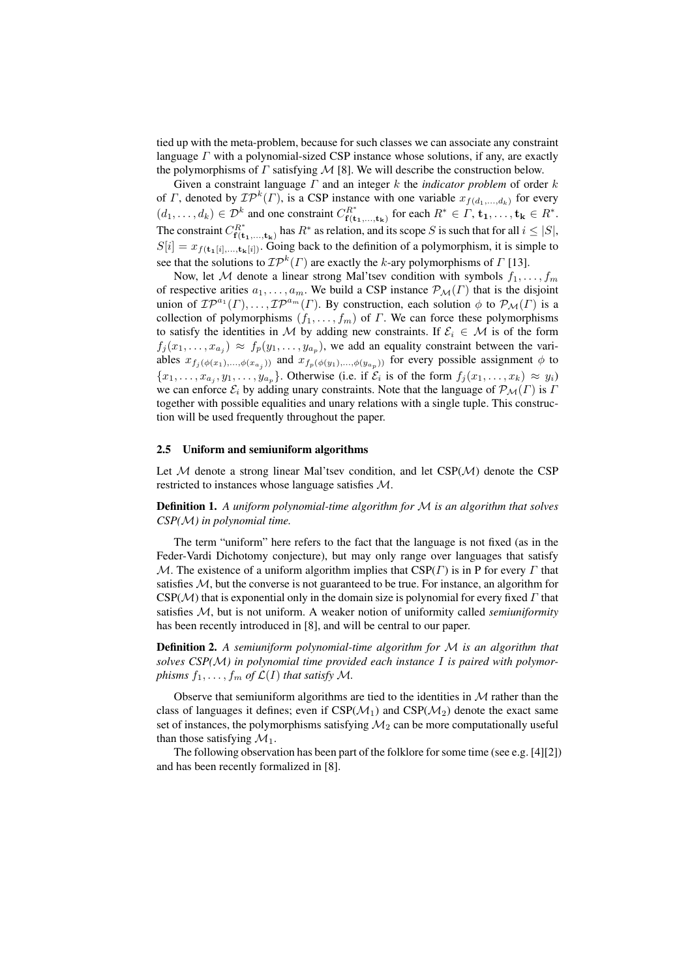tied up with the meta-problem, because for such classes we can associate any constraint language  $\Gamma$  with a polynomial-sized CSP instance whose solutions, if any, are exactly the polymorphisms of  $\Gamma$  satisfying  $\mathcal M$  [8]. We will describe the construction below.

Given a constraint language Γ and an integer k the *indicator problem* of order k of *Γ*, denoted by  $\mathcal{IP}^k(\Gamma)$ , is a CSP instance with one variable  $x_{f(d_1,...,d_k)}$  for every  $(d_1, \ldots, d_k) \in \mathcal{D}^k$  and one constraint  $C_{\mathbf{f}(\mathbf{t})}^{R^*}$  $f^{R^*}_{\mathbf{f}(\mathbf{t_1},...,\mathbf{t_k})}$  for each  $R^* \in \Gamma, \mathbf{t_1},\ldots,\mathbf{t_k} \in R^*.$ The constraint  $C_{\mathbf{f}(\mathbf{t})}^{R^*}$  $f^{R^*}_{f(t_1,...,t_k)}$  has  $R^*$  as relation, and its scope S is such that for all  $i \leq |S|$ ,  $S[i] = x_{f(t_1[i],...,t_k[i])}$ . Going back to the definition of a polymorphism, it is simple to see that the solutions to  $\mathcal{IP}^k(\Gamma)$  are exactly the k-ary polymorphisms of  $\Gamma$  [13].

Now, let M denote a linear strong Mal'tsev condition with symbols  $f_1, \ldots, f_m$ of respective arities  $a_1, \ldots, a_m$ . We build a CSP instance  $\mathcal{P}_\mathcal{M}(\Gamma)$  that is the disjoint union of  $\mathcal{IP}^{a_1}(\Gamma), \ldots, \mathcal{IP}^{a_m}(\Gamma)$ . By construction, each solution  $\phi$  to  $\mathcal{P}_{\mathcal{M}}(\Gamma)$  is a collection of polymorphisms  $(f_1, \ldots, f_m)$  of  $\Gamma$ . We can force these polymorphisms to satisfy the identities in M by adding new constraints. If  $\mathcal{E}_i \in \mathcal{M}$  is of the form  $f_j(x_1,\ldots,x_{a_j}) \approx f_p(y_1,\ldots,y_{a_p})$ , we add an equality constraint between the variables  $x_{f_j(\phi(x_1),\ldots,\phi(x_{a_j}))}$  and  $x_{f_p(\phi(y_1),\ldots,\phi(y_{a_p}))}$  for every possible assignment  $\phi$  to  $\{x_1, \ldots, x_{a_j}, y_1, \ldots, y_{a_p}\}\$ . Otherwise (i.e. if  $\mathcal{E}_i$  is of the form  $f_j(x_1, \ldots, x_k) \approx y_i$ ) we can enforce  $\mathcal{E}_i$  by adding unary constraints. Note that the language of  $\mathcal{P}_M(\Gamma)$  is  $\Gamma$ together with possible equalities and unary relations with a single tuple. This construction will be used frequently throughout the paper.

#### 2.5 Uniform and semiuniform algorithms

Let  $M$  denote a strong linear Mal'tsev condition, and let  $CSP(M)$  denote the CSP restricted to instances whose language satisfies M.

Definition 1. *A uniform polynomial-time algorithm for* M *is an algorithm that solves CSP(*M*) in polynomial time.*

The term "uniform" here refers to the fact that the language is not fixed (as in the Feder-Vardi Dichotomy conjecture), but may only range over languages that satisfy M. The existence of a uniform algorithm implies that  $CSP(\Gamma)$  is in P for every  $\Gamma$  that satisfies  $M$ , but the converse is not guaranteed to be true. For instance, an algorithm for  $CSP(\mathcal{M})$  that is exponential only in the domain size is polynomial for every fixed  $\Gamma$  that satisfies M, but is not uniform. A weaker notion of uniformity called *semiuniformity* has been recently introduced in [8], and will be central to our paper.

Definition 2. *A semiuniform polynomial-time algorithm for* M *is an algorithm that solves CSP(*M*) in polynomial time provided each instance* I *is paired with polymorphisms*  $f_1, \ldots, f_m$  *of*  $\mathcal{L}(I)$  *that satisfy*  $\mathcal{M}$ *.* 

Observe that semiuniform algorithms are tied to the identities in  $\mathcal M$  rather than the class of languages it defines; even if  $CSP(\mathcal{M}_1)$  and  $CSP(\mathcal{M}_2)$  denote the exact same set of instances, the polymorphisms satisfying  $\mathcal{M}_2$  can be more computationally useful than those satisfying  $\mathcal{M}_1$ .

The following observation has been part of the folklore for some time (see e.g. [4][2]) and has been recently formalized in [8].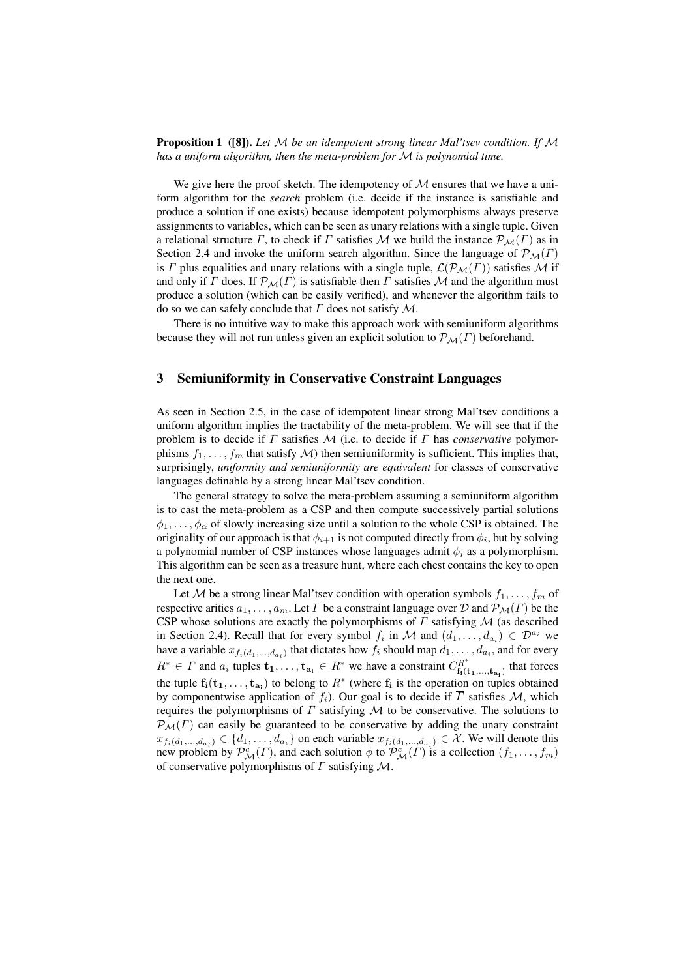#### Proposition 1 ([8]). *Let* M *be an idempotent strong linear Mal'tsev condition. If* M *has a uniform algorithm, then the meta-problem for* M *is polynomial time.*

We give here the proof sketch. The idempotency of  $M$  ensures that we have a uniform algorithm for the *search* problem (i.e. decide if the instance is satisfiable and produce a solution if one exists) because idempotent polymorphisms always preserve assignments to variables, which can be seen as unary relations with a single tuple. Given a relational structure Γ, to check if Γ satisfies M we build the instance  $\mathcal{P}_{\mathcal{M}}(\Gamma)$  as in Section 2.4 and invoke the uniform search algorithm. Since the language of  $\mathcal{P}_{\mathcal{M}}(\Gamma)$ is  $\Gamma$  plus equalities and unary relations with a single tuple,  $\mathcal{L}(\mathcal{P}_M(\Gamma))$  satisfies M if and only if  $\Gamma$  does. If  $\mathcal{P}_{\mathcal{M}}(\Gamma)$  is satisfiable then  $\Gamma$  satisfies  $\mathcal M$  and the algorithm must produce a solution (which can be easily verified), and whenever the algorithm fails to do so we can safely conclude that  $\Gamma$  does not satisfy  $\mathcal M$ .

There is no intuitive way to make this approach work with semiuniform algorithms because they will not run unless given an explicit solution to  $\mathcal{P}_M(\Gamma)$  beforehand.

# 3 Semiuniformity in Conservative Constraint Languages

As seen in Section 2.5, in the case of idempotent linear strong Mal'tsev conditions a uniform algorithm implies the tractability of the meta-problem. We will see that if the problem is to decide if  $\overline{T}$  satisfies M (i.e. to decide if  $\Gamma$  has *conservative* polymorphisms  $f_1, \ldots, f_m$  that satisfy  $\mathcal M$ ) then semiuniformity is sufficient. This implies that, surprisingly, *uniformity and semiuniformity are equivalent* for classes of conservative languages definable by a strong linear Mal'tsev condition.

The general strategy to solve the meta-problem assuming a semiuniform algorithm is to cast the meta-problem as a CSP and then compute successively partial solutions  $\phi_1, \ldots, \phi_\alpha$  of slowly increasing size until a solution to the whole CSP is obtained. The originality of our approach is that  $\phi_{i+1}$  is not computed directly from  $\phi_i$ , but by solving a polynomial number of CSP instances whose languages admit  $\phi_i$  as a polymorphism. This algorithm can be seen as a treasure hunt, where each chest contains the key to open the next one.

Let M be a strong linear Mal'tsev condition with operation symbols  $f_1, \ldots, f_m$  of respective arities  $a_1, \ldots, a_m$ . Let  $\Gamma$  be a constraint language over  $\mathcal D$  and  $\mathcal P_{\mathcal M}(\Gamma)$  be the CSP whose solutions are exactly the polymorphisms of  $\Gamma$  satisfying  $\mathcal M$  (as described in Section 2.4). Recall that for every symbol  $f_i$  in M and  $(d_1, \ldots, d_{a_i}) \in \mathcal{D}^{a_i}$  we have a variable  $x_{f_i(d_1,...,d_{a_i})}$  that dictates how  $f_i$  should map  $d_1, \ldots, d_{a_i}$ , and for every  $R^* \in \Gamma$  and  $a_i$  tuples  $\mathbf{t_1}, \dots, \mathbf{t_{a_i}} \in R^*$  we have a constraint  $C_{\mathbf{f}_i(t)}^{R^*}$  $f_i^{R^*}$  that forces that forces the tuple  $f_i(t_1,\ldots,t_{a_i})$  to belong to  $R^*$  (where  $f_i$  is the operation on tuples obtained by componentwise application of  $f_i$ ). Our goal is to decide if  $\overline{\Gamma}$  satisfies M, which requires the polymorphisms of  $\Gamma$  satisfying  $\mathcal M$  to be conservative. The solutions to  $\mathcal{P}_{\mathcal{M}}(\Gamma)$  can easily be guaranteed to be conservative by adding the unary constraint  $x_{f_i(d_1,...,d_{a_i})} \in \{d_1,...,d_{a_i}\}\$  on each variable  $x_{f_i(d_1,...,d_{a_i})} \in \mathcal{X}$ . We will denote this new problem by  $\mathcal{P}_{\mathcal{M}}^c(\Gamma)$ , and each solution  $\phi$  to  $\mathcal{P}_{\mathcal{M}}^c(\Gamma)$  is a collection  $(f_1, \ldots, f_m)$ of conservative polymorphisms of  $\Gamma$  satisfying  $\mathcal{M}$ .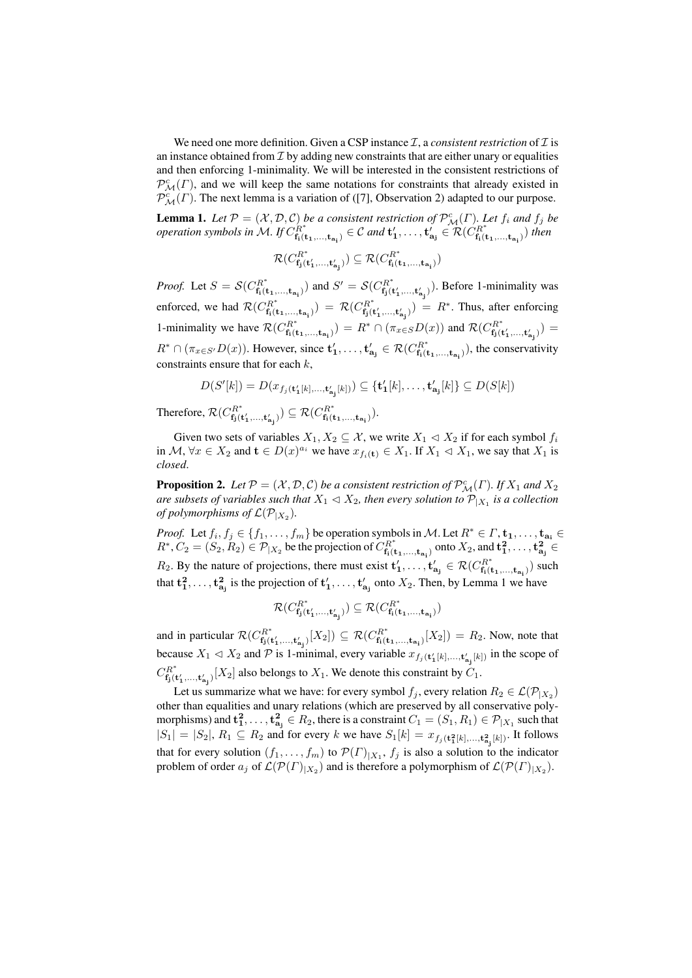We need one more definition. Given a CSP instance  $\mathcal{I}$ , a *consistent restriction* of  $\mathcal{I}$  is an instance obtained from  $\mathcal I$  by adding new constraints that are either unary or equalities and then enforcing 1-minimality. We will be interested in the consistent restrictions of  $\mathcal{P}^c_{\mathcal{M}}(\Gamma)$ , and we will keep the same notations for constraints that already existed in  $\mathcal{P}^c_{\mathcal{M}}(\Gamma)$ . The next lemma is a variation of ([7], Observation 2) adapted to our purpose.

**Lemma 1.** Let  $P = (\mathcal{X}, \mathcal{D}, \mathcal{C})$  be a consistent restriction of  $P_{\mathcal{M}}^c(\Gamma)$ . Let  $f_i$  and  $f_j$  be *operation symbols in*  $\mathcal{M}$ *. If*  $C_{\mathbf{f} \cdot G}^{R^*}$  $f_{\mathbf{f}_1(\mathbf{t}_1,...,\mathbf{t}_{\mathbf{a_i}})}^{R^*} \in \mathcal{C}$  and  $\mathbf{t}'_1,...,\mathbf{t}'_{\mathbf{a_j}} \in \mathcal{R}(C_{\mathbf{f}_1(\mathbf{t}_1)}^{R^*})$  $f_i(t_1,...,t_{a_i})$ <sup>then</sup>

$$
\mathcal{R}(C_{\mathbf{f_j}(\mathbf{t'_1}, \ldots, \mathbf{t'_{a_j}})}^{R^*}) \subseteq \mathcal{R}(C_{\mathbf{f_i}(\mathbf{t_1}, \ldots, \mathbf{t_{a_i}})}^{R^*})
$$

*Proof.* Let  $S = \mathcal{S}(C_{\mathbf{f} \cup \mathbf{f}}^{R^*})$  $f_{\mathbf{f_i}(\mathbf{t_1},...,\mathbf{t_{a_i}})}^{R^*}$  and  $S' = \mathcal{S}(C_{\mathbf{f_j}(\mathbf{t})}^{R^*})$  $f_{f_j(t'_1,...,t'_{a_j})}^{R^*}$ ). Before 1-minimality was enforced, we had  $\mathcal{R}(C_{\mathbf{f}}^{R^*})$  $f_{\mathbf{f_i}(\mathbf{t_1},...,\mathbf{t_{a_i}})}^{R^*}$ ) =  $\mathcal{R}(C_{\mathbf{f_j}(\mathbf{f})}^{R^*})$  $f_{\mathbf{j}(\mathbf{t}'_1, ..., \mathbf{t}'_{\mathbf{a}_j})}^{R^*}$  after enforcing 1-minimality we have  $\mathcal{R}(C_{\mathbf{f}}^{R^*})$  $f_{\mathbf{f_i}(\mathbf{t_1}, \dots, \mathbf{t_{a_i}})}^{R^*}$   $= R^* \cap (\pi_{x \in S} D(x))$  and  $\mathcal{R}(C_{\mathbf{f_j}(\mathbf{t_1})}^{R^*}$  $f_{\mathbf{f} \mathbf{j}}(\mathbf{t}_{1}^{\prime},...,\mathbf{t}_{\mathbf{a}_{\mathbf{j}}}^{\prime})$   $=$  $R^* \cap (\pi_{x \in S'} D(x))$ . However, since  $\mathbf{t'_1}, \dots, \mathbf{t'_{a_j}} \in \mathcal{R}(C_{\mathbf{f_i}(i)}^{R^*})$  $f_{\mathbf{f}_i(\mathbf{t}_1,...,\mathbf{t}_{\mathbf{a}_i})}^{H^*}$ , the conservativity constraints ensure that for each  $k$ ,

$$
D(S'[k]) = D(x_{f_j(\mathbf{t}'_1[k], \dots, \mathbf{t}'_{\mathbf{a}_j}[k])}) \subseteq {\mathbf{t}'_1[k], \dots, \mathbf{t}'_{\mathbf{a}_j}[k]} \subseteq D(S[k])
$$

Therefore,  $\mathcal{R}(C_{\mathbf{f}}^{R^*})$  $f_{\mathbf{j}}^{R^*}(\mathbf{t}'_1,...,\mathbf{t}'_{\mathbf{a_j}})) \subseteq \mathcal{R}(C^{R^*}_{\mathbf{f_i}(\mathbf{t}'_1)})$  $f_i(t_1,...,t_{\mathbf{a_i}})$ .

Given two sets of variables  $X_1, X_2 \subseteq \mathcal{X}$ , we write  $X_1 \triangleleft X_2$  if for each symbol  $f_i$ in  $\mathcal{M}, \forall x \in X_2$  and  $\mathbf{t} \in D(x)^{a_i}$  we have  $x_{f_i(\mathbf{t})} \in X_1$ . If  $X_1 \triangleleft X_1$ , we say that  $X_1$  is *closed*.

**Proposition 2.** Let  $P = (\mathcal{X}, \mathcal{D}, \mathcal{C})$  be a consistent restriction of  $\mathcal{P}_{\mathcal{M}}^c(\Gamma)$ . If  $X_1$  and  $X_2$ are subsets of variables such that  $X_1 \triangleleft X_2$ , then every solution to  $\overline{\mathcal{P}}_{|X_1}$  is a collection *of polymorphisms of*  $\mathcal{L}(\mathcal{P}_{|X_2})$ .

*Proof.* Let  $f_i, f_j \in \{f_1, \ldots, f_m\}$  be operation symbols in M. Let  $R^* \in \Gamma, \mathbf{t_1}, \ldots, \mathbf{t_{a_i}} \in$  $R^*, C_2 = (S_2, R_2) \in \mathcal{P}_{|X_2}$  be the projection of  $C_{\mathbf{f}_i}^{R^*}$  $f_{\mathbf{f_i}(\mathbf{t_1},...,\mathbf{t_{a_i}})}^{R^*}$  onto  $X_2$ , and  $\mathbf{t_1^2},\ldots,\mathbf{t_{a_j}^2}\in\mathbb{R}$  $R_2$ . By the nature of projections, there must exist  $\mathbf{t}'_1, \ldots, \mathbf{t}'_{a_j} \in \mathcal{R}(C_{\mathbf{f}_i}^{R^*})$  $f_i(t_1,...,t_{a_i})$  such that  $t_1^2, \ldots, t_{a_j}^2$  is the projection of  $t'_1, \ldots, t'_{a_j}$  onto  $X_2$ . Then, by Lemma 1 we have

$$
\mathcal{R}(C_{\mathbf{f_j}(\mathbf{t'_1}, \ldots, \mathbf{t'_{a_j}})}) \subseteq \mathcal{R}(C_{\mathbf{f_i}(\mathbf{t_1}, \ldots, \mathbf{t_{a_i}})}^{R^*})
$$

and in particular  $\mathcal{R}(C_{\mathbf{f}}^{R^*})$  $f_{\mathbf{f}(\mathbf{t}'_1, ..., \mathbf{t}'_{\mathbf{a}_j})}[X_2]) \subseteq \mathcal{R}(C_{\mathbf{f}_\mathbf{i}(\mathbf{t}'_j)}^{R^*}$  $f_{f_i(t_1,...,t_{a_i})}^{R^*} [X_2]$  =  $R_2$ . Now, note that because  $X_1 \triangleleft X_2$  and  $\mathcal P$  is 1-minimal, every variable  $x_{f_j(t'_1[k],...,t'_{a_j}[k])}$  in the scope of  $C_{\mathbf{f} \cdot G}^{R^*}$  $f_{f_j(t'_1,...,t'_{a_j})}[X_2]$  also belongs to  $X_1$ . We denote this constraint by  $C_1$ .

Let us summarize what we have: for every symbol  $f_j$ , every relation  $R_2 \in \mathcal{L}(\mathcal{P}_{|X_2})$ other than equalities and unary relations (which are preserved by all conservative polymorphisms) and  ${\bf t_1^2},\ldots,{\bf t_{a_j}^2}\in R_2,$  there is a constraint  $C_1=(S_1,R_1)\in {\cal P}_{|X_1}$  such that  $|S_1| = |S_2|, R_1 \subseteq R_2$  and for every k we have  $S_1[k] = x_{f_j(t_1^2[k],...,t_{a_j}^2[k])}$ . It follows that for every solution  $(f_1, \ldots, f_m)$  to  $\mathcal{P}(\Gamma)|_{X_1}, f_j$  is also a solution to the indicator problem of order  $a_j$  of  $\mathcal{L}(\mathcal{P}(\Gamma)|_{X_2})$  and is therefore a polymorphism of  $\mathcal{L}(\mathcal{P}(\Gamma)|_{X_2})$ .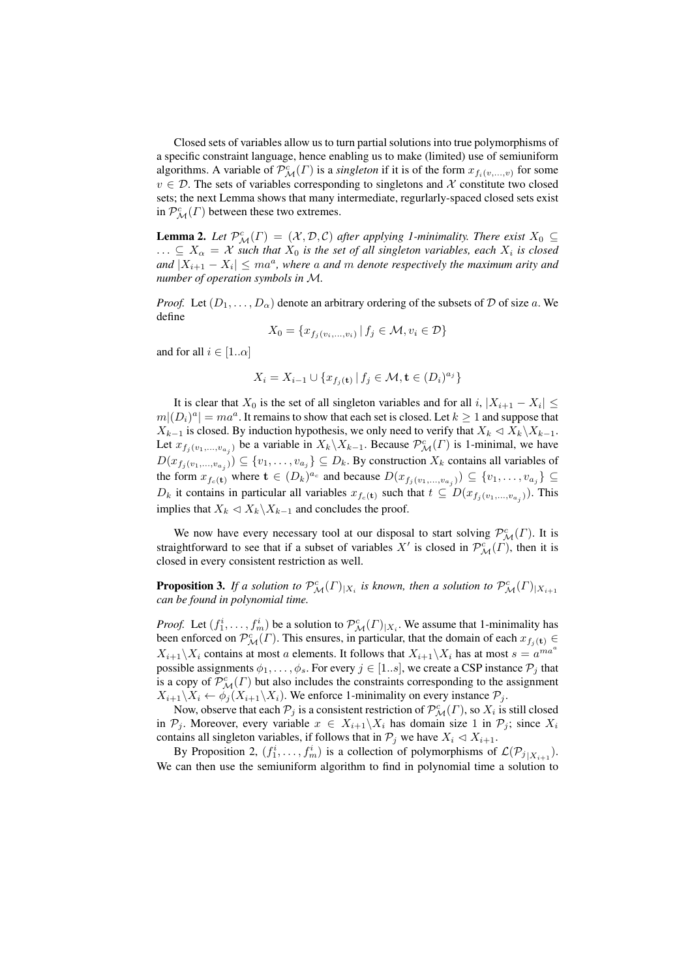Closed sets of variables allow us to turn partial solutions into true polymorphisms of a specific constraint language, hence enabling us to make (limited) use of semiuniform algorithms. A variable of  $\mathcal{P}^c_{\mathcal{M}}(\Gamma)$  is a *singleton* if it is of the form  $x_{f_i(v,...,v)}$  for some  $v \in \mathcal{D}$ . The sets of variables corresponding to singletons and X constitute two closed sets; the next Lemma shows that many intermediate, regurlarly-spaced closed sets exist in  $\mathcal{P}^c_{\mathcal{M}}(\Gamma)$  between these two extremes.

**Lemma 2.** Let  $\mathcal{P}_{\mathcal{M}}^c(\Gamma) = (\mathcal{X}, \mathcal{D}, \mathcal{C})$  after applying 1-minimality. There exist  $X_0 \subseteq$  $\ldots \subseteq X_\alpha = X$  such that  $X_0$  is the set of all singleton variables, each  $X_i$  is closed  $\lVert \overline{X}_{i+1} - \overline{X}_i \rVert \leq m a^a$ , where a and m denote respectively the maximum arity and *number of operation symbols in* M*.*

*Proof.* Let  $(D_1, \ldots, D_\alpha)$  denote an arbitrary ordering of the subsets of D of size a. We define

$$
X_0 = \{ x_{f_j(v_i,...,v_i)} \mid f_j \in \mathcal{M}, v_i \in \mathcal{D} \}
$$

and for all  $i \in [1..\alpha]$ 

$$
X_i = X_{i-1} \cup \{x_{f_j(\mathbf{t})} \mid f_j \in \mathcal{M}, \mathbf{t} \in (D_i)^{a_j}\}
$$

It is clear that  $X_0$  is the set of all singleton variables and for all i,  $|X_{i+1} - X_i| \leq$  $m|(D_i)^a| = ma^a$ . It remains to show that each set is closed. Let  $k \geq 1$  and suppose that  $X_{k-1}$  is closed. By induction hypothesis, we only need to verify that  $X_k \triangleleft X_k\backslash X_{k-1}$ . Let  $x_{f_j(v_1,...,v_{a_j})}$  be a variable in  $X_k\backslash X_{k-1}$ . Because  $\mathcal{P}^c_{\mathcal{M}}(\Gamma)$  is 1-minimal, we have  $D(x_{f_j(v_1,...,v_{a_j})}) \subseteq \{v_1,...,v_{a_j}\} \subseteq D_k$ . By construction  $X_k$  contains all variables of the form  $x_{f_c(\mathbf{t})}$  where  $\mathbf{t} \in (D_k)^{a_c}$  and because  $D(x_{f_j(v_1,...,v_{a_j}})) \subseteq \{v_1,...,v_{a_j}\} \subseteq$  $D_k$  it contains in particular all variables  $x_{f_c(\mathbf{t})}$  such that  $t \subseteq D(x_{f_j(v_1,...,v_{a_j})})$ . This implies that  $X_k \triangleleft X_k \backslash X_{k-1}$  and concludes the proof.

We now have every necessary tool at our disposal to start solving  $\mathcal{P}^c_{\mathcal{M}}(\Gamma)$ . It is straightforward to see that if a subset of variables  $X'$  is closed in  $\mathcal{P}_{\mathcal{M}}^{c}(\Gamma)$ , then it is closed in every consistent restriction as well.

**Proposition 3.** If a solution to  $\mathcal{P}_{\mathcal{M}}^c(\Gamma)|_{X_i}$  is known, then a solution to  $\mathcal{P}_{\mathcal{M}}^c(\Gamma)|_{X_{i+1}}$ *can be found in polynomial time.*

*Proof.* Let  $(f_1^i, \ldots, f_m^i)$  be a solution to  $\mathcal{P}_{\mathcal{M}}^c(\Gamma)|_{X_i}$ . We assume that 1-minimality has been enforced on  $\mathcal{P}^c_{\mathcal{M}}(\Gamma)$ . This ensures, in particular, that the domain of each  $x_{f_j(\mathbf{t})} \in$  $X_{i+1}\backslash X_i$  contains at most a elements. It follows that  $X_{i+1}\backslash X_i$  has at most  $s = a^{ma^a}$ possible assignments  $\phi_1, \ldots, \phi_s$ . For every  $j \in [1..s]$ , we create a CSP instance  $\mathcal{P}_j$  that is a copy of  $\mathcal{P}^c_{\mathcal{M}}(\Gamma)$  but also includes the constraints corresponding to the assignment  $X_{i+1}\setminus X_i \leftarrow \phi_i(X_{i+1}\setminus X_i)$ . We enforce 1-minimality on every instance  $\mathcal{P}_i$ .

Now, observe that each  $\mathcal{P}_j$  is a consistent restriction of  $\mathcal{P}_{\mathcal{M}}^c(\Gamma)$ , so  $X_i$  is still closed in  $P_j$ . Moreover, every variable  $x \in X_{i+1} \backslash X_i$  has domain size 1 in  $P_j$ ; since  $X_i$ contains all singleton variables, if follows that in  $P_j$  we have  $X_i \lhd X_{i+1}$ .

By Proposition 2,  $(f_1^i, \ldots, f_m^i)$  is a collection of polymorphisms of  $\mathcal{L}(\mathcal{P}_{j \mid X_{i+1}})$ . We can then use the semiuniform algorithm to find in polynomial time a solution to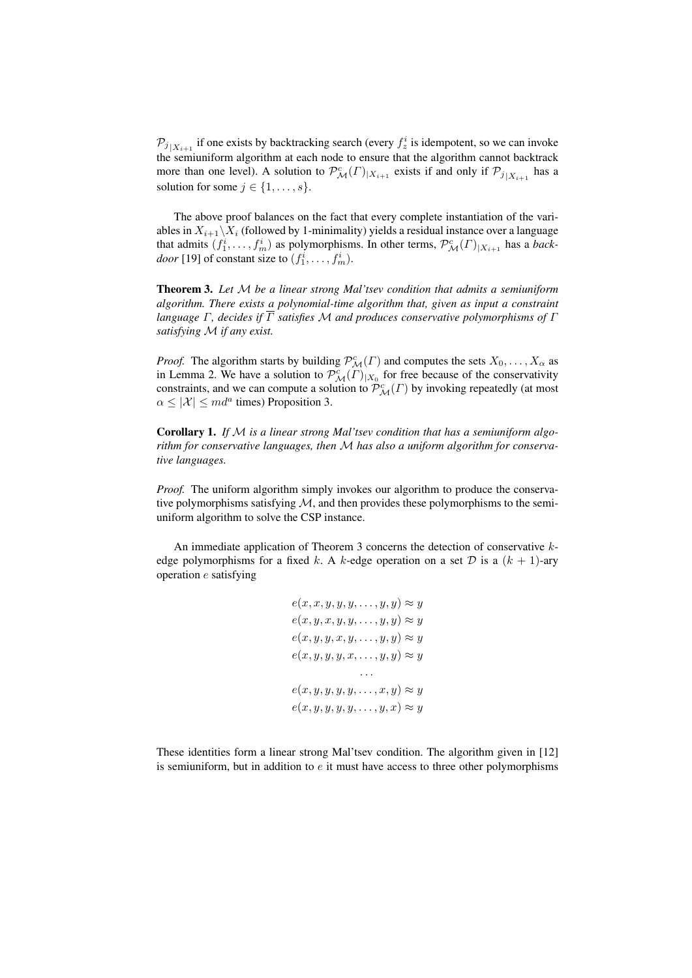$\mathcal{P}_{j|X_{i+1}}$  if one exists by backtracking search (every  $f_z^i$  is idempotent, so we can invoke the semiuniform algorithm at each node to ensure that the algorithm cannot backtrack more than one level). A solution to  $\mathcal{P}_{\mathcal{M}}^c(\Gamma)|_{X_{i+1}}$  exists if and only if  $\mathcal{P}_{j}|_{X_{i+1}}$  has a solution for some  $j \in \{1, \ldots, s\}.$ 

The above proof balances on the fact that every complete instantiation of the variables in  $X_{i+1}\setminus X_i$  (followed by 1-minimality) yields a residual instance over a language that admits  $(f_1^i, \ldots, f_m^i)$  as polymorphisms. In other terms,  $\mathcal{P}^c_{\mathcal{M}}(\Gamma)_{|X_{i+1}}$  has a *backdoor* [19] of constant size to  $(f_1^i, \ldots, f_m^i)$ .

Theorem 3. *Let* M *be a linear strong Mal'tsev condition that admits a semiuniform algorithm. There exists a polynomial-time algorithm that, given as input a constraint language* Γ*, decides if* Γ *satisfies* M *and produces conservative polymorphisms of* Γ *satisfying* M *if any exist.*

*Proof.* The algorithm starts by building  $\mathcal{P}_{\mathcal{M}}^{c}(\Gamma)$  and computes the sets  $X_0, \ldots, X_\alpha$  as in Lemma 2. We have a solution to  $\mathcal{P}_{\mathcal{M}}^{c}(\Gamma)|_{X_0}$  for free because of the conservativity constraints, and we can compute a solution to  $\mathcal{P}^c_{\mathcal{M}}(\Gamma)$  by invoking repeatedly (at most  $\alpha \leq |\mathcal{X}| \leq md^a$  times) Proposition 3.

Corollary 1. *If* M *is a linear strong Mal'tsev condition that has a semiuniform algorithm for conservative languages, then* M *has also a uniform algorithm for conservative languages.*

*Proof.* The uniform algorithm simply invokes our algorithm to produce the conservative polymorphisms satisfying  $M$ , and then provides these polymorphisms to the semiuniform algorithm to solve the CSP instance.

An immediate application of Theorem 3 concerns the detection of conservative kedge polymorphisms for a fixed k. A k-edge operation on a set  $D$  is a  $(k + 1)$ -ary operation e satisfying

$$
e(x, x, y, y, y, \dots, y, y) \approx y
$$
  
\n
$$
e(x, y, x, y, y, \dots, y, y) \approx y
$$
  
\n
$$
e(x, y, y, x, y, \dots, y, y) \approx y
$$
  
\n
$$
e(x, y, y, y, x, \dots, y, y) \approx y
$$
  
\n
$$
\dots
$$
  
\n
$$
e(x, y, y, y, y, \dots, x, y) \approx y
$$
  
\n
$$
e(x, y, y, y, y, \dots, y, x) \approx y
$$

These identities form a linear strong Mal'tsev condition. The algorithm given in [12] is semiuniform, but in addition to  $e$  it must have access to three other polymorphisms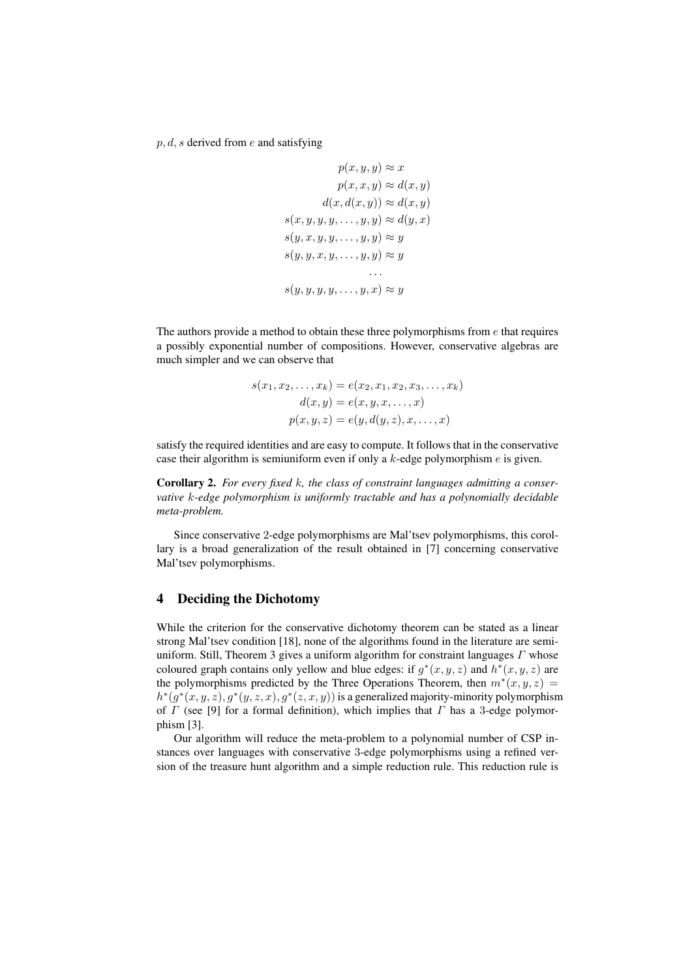$p, d, s$  derived from e and satisfying

$$
p(x, y, y) \approx x
$$

$$
p(x, x, y) \approx d(x, y)
$$

$$
d(x, d(x, y)) \approx d(x, y)
$$

$$
s(x, y, y, y, \dots, y, y) \approx d(y, x)
$$

$$
s(y, x, y, y, \dots, y, y) \approx y
$$

$$
s(y, y, x, y, \dots, y, y) \approx y
$$

The authors provide a method to obtain these three polymorphisms from  $e$  that requires a possibly exponential number of compositions. However, conservative algebras are much simpler and we can observe that

$$
s(x_1, x_2,..., x_k) = e(x_2, x_1, x_2, x_3,..., x_k)
$$
  

$$
d(x, y) = e(x, y, x,..., x)
$$
  

$$
p(x, y, z) = e(y, d(y, z), x,..., x)
$$

satisfy the required identities and are easy to compute. It follows that in the conservative case their algorithm is semiuniform even if only a  $k$ -edge polymorphism  $e$  is given.

Corollary 2. *For every fixed* k*, the class of constraint languages admitting a conservative* k*-edge polymorphism is uniformly tractable and has a polynomially decidable meta-problem.*

Since conservative 2-edge polymorphisms are Mal'tsev polymorphisms, this corollary is a broad generalization of the result obtained in [7] concerning conservative Mal'tsev polymorphisms.

### 4 Deciding the Dichotomy

While the criterion for the conservative dichotomy theorem can be stated as a linear strong Mal'tsev condition [18], none of the algorithms found in the literature are semiuniform. Still, Theorem 3 gives a uniform algorithm for constraint languages  $\Gamma$  whose coloured graph contains only yellow and blue edges: if  $g^*(x, y, z)$  and  $h^*(x, y, z)$  are the polymorphisms predicted by the Three Operations Theorem, then  $m^*(x, y, z) =$  $h^*(g^*(x, y, z), g^*(y, z, x), g^*(z, x, y))$  is a generalized majority-minority polymorphism of  $\Gamma$  (see [9] for a formal definition), which implies that  $\Gamma$  has a 3-edge polymorphism [3].

Our algorithm will reduce the meta-problem to a polynomial number of CSP instances over languages with conservative 3-edge polymorphisms using a refined version of the treasure hunt algorithm and a simple reduction rule. This reduction rule is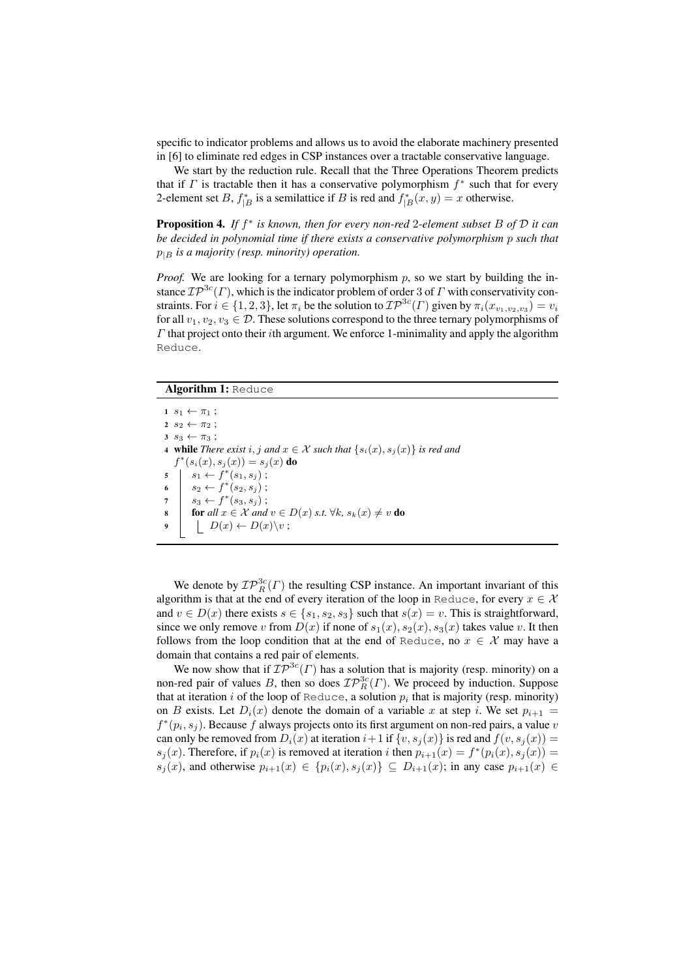specific to indicator problems and allows us to avoid the elaborate machinery presented in [6] to eliminate red edges in CSP instances over a tractable conservative language.

We start by the reduction rule. Recall that the Three Operations Theorem predicts that if  $\Gamma$  is tractable then it has a conservative polymorphism  $f^*$  such that for every 2-element set B,  $f_{|B}^*$  is a semilattice if B is red and  $f_{|B}^*(x, y) = x$  otherwise.

Proposition 4. *If* f ∗ *is known, then for every non-red* 2*-element subset* B *of* D *it can be decided in polynomial time if there exists a conservative polymorphism* p *such that*  $p_{|B}$  *is a majority (resp. minority) operation.* 

*Proof.* We are looking for a ternary polymorphism  $p$ , so we start by building the instance  $\mathcal{IP}^{3c}(\Gamma)$ , which is the indicator problem of order 3 of  $\Gamma$  with conservativity constraints. For  $i \in \{1, 2, 3\}$ , let  $\pi_i$  be the solution to  $\mathcal{IP}^{3c}(\Gamma)$  given by  $\pi_i(x_{v_1, v_2, v_3}) = v_i$ for all  $v_1, v_2, v_3 \in \mathcal{D}$ . These solutions correspond to the three ternary polymorphisms of  $\Gamma$  that project onto their *i*th argument. We enforce 1-minimality and apply the algorithm Reduce.

#### Algorithm 1: Reduce

 $1 s_1 \leftarrow \pi_1;$  $2 \, s_2 \leftarrow \pi_2$ ;  $3 s_3 \leftarrow \pi_3;$ 4 **while** *There exist*  $i, j$  *and*  $x \in \mathcal{X}$  *such that*  $\{s_i(x), s_j(x)\}$  *is red and*  $f^*(s_i(x), s_j(x)) = s_j(x)$  do  $5 \mid s_1 \leftarrow f^*(s_1, s_j)$ ; 6  $s_2 \leftarrow f^*(s_2, s_j);$ 7  $s_3 \leftarrow f^*(s_3, s_j);$ 8 **for** all  $x \in \mathcal{X}$  and  $v \in D(x)$  *s.t.*  $\forall k$ ,  $s_k(x) \neq v$  do  $\left| D(x) \leftarrow D(x)\backslash v; \right.$ 

We denote by  $\mathcal{IP}^{3c}_{R}(\Gamma)$  the resulting CSP instance. An important invariant of this algorithm is that at the end of every iteration of the loop in Reduce, for every  $x \in \mathcal{X}$ and  $v \in D(x)$  there exists  $s \in \{s_1, s_2, s_3\}$  such that  $s(x) = v$ . This is straightforward, since we only remove v from  $D(x)$  if none of  $s_1(x), s_2(x), s_3(x)$  takes value v. It then follows from the loop condition that at the end of Reduce, no  $x \in \mathcal{X}$  may have a domain that contains a red pair of elements.

We now show that if  $\mathcal{IP}^{3c}(\Gamma)$  has a solution that is majority (resp. minority) on a non-red pair of values B, then so does  $\mathcal{IP}_R^{3c}(\Gamma)$ . We proceed by induction. Suppose that at iteration i of the loop of Reduce, a solution  $p_i$  that is majority (resp. minority) on B exists. Let  $D_i(x)$  denote the domain of a variable x at step i. We set  $p_{i+1} =$  $f^*(p_i, s_j)$ . Because f always projects onto its first argument on non-red pairs, a value v can only be removed from  $D_i(x)$  at iteration  $i+1$  if  $\{v, s_i(x)\}\$ is red and  $f(v, s_i(x)) =$  $s_j(x)$ . Therefore, if  $p_i(x)$  is removed at iteration i then  $p_{i+1}(x) = f^*(p_i(x), s_j(x)) =$  $s_j(x)$ , and otherwise  $p_{i+1}(x) \in \{p_i(x), s_j(x)\} \subseteq D_{i+1}(x)$ ; in any case  $p_{i+1}(x) \in$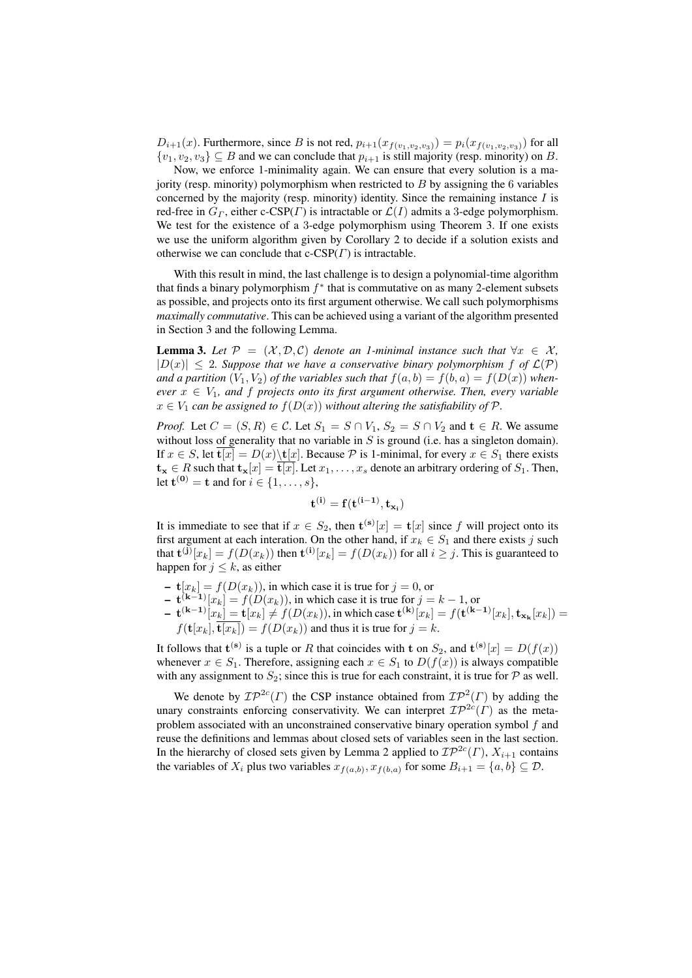$D_{i+1}(x)$ . Furthermore, since B is not red,  $p_{i+1}(x_{f(v_1,v_2,v_3)}) = p_i(x_{f(v_1,v_2,v_3)})$  for all  $\{v_1, v_2, v_3\} \subseteq B$  and we can conclude that  $p_{i+1}$  is still majority (resp. minority) on B.

Now, we enforce 1-minimality again. We can ensure that every solution is a majority (resp. minority) polymorphism when restricted to  $B$  by assigning the  $6$  variables concerned by the majority (resp. minority) identity. Since the remaining instance  $I$  is red-free in  $G_r$ , either c-CSP(Γ) is intractable or  $\mathcal{L}(I)$  admits a 3-edge polymorphism. We test for the existence of a 3-edge polymorphism using Theorem 3. If one exists we use the uniform algorithm given by Corollary 2 to decide if a solution exists and otherwise we can conclude that  $c\text{-CSP}(T)$  is intractable.

With this result in mind, the last challenge is to design a polynomial-time algorithm that finds a binary polymorphism  $f^*$  that is commutative on as many 2-element subsets as possible, and projects onto its first argument otherwise. We call such polymorphisms *maximally commutative*. This can be achieved using a variant of the algorithm presented in Section 3 and the following Lemma.

**Lemma 3.** Let  $\mathcal{P} = (\mathcal{X}, \mathcal{D}, \mathcal{C})$  denote an 1-minimal instance such that  $\forall x \in \mathcal{X}$ ,  $|D(x)| \leq 2$ . Suppose that we have a conservative binary polymorphism f of  $\mathcal{L}(\mathcal{P})$ and a partition  $(V_1, V_2)$  of the variables such that  $f(a, b) = f(b, a) = f(D(x))$  when*ever*  $x \in V_1$ , and f projects onto its first argument otherwise. Then, every variable  $x \in V_1$  can be assigned to  $f(D(x))$  without altering the satisfiability of P.

*Proof.* Let  $C = (S, R) \in \mathcal{C}$ . Let  $S_1 = S \cap V_1$ ,  $S_2 = S \cap V_2$  and  $\mathbf{t} \in R$ . We assume without loss of generality that no variable in  $S$  is ground (i.e. has a singleton domain). If  $x \in S$ , let  $\overline{\mathbf{t}[x]} = D(x)\backslash \mathbf{t}[x]$ . Because  $P$  is 1-minimal, for every  $x \in S_1$  there exists  $t_{\mathbf{x}} \in R$  such that  $t_{\mathbf{x}}[x] = \overline{t[x]}$ . Let  $x_1, \ldots, x_s$  denote an arbitrary ordering of  $S_1$ . Then, let  $\mathbf{t^{(0)}} = \mathbf{t}$  and for  $i \in \{1, \ldots, s\},\$ 

$$
\mathbf{t}^{(i)} = \mathbf{f}(\mathbf{t}^{(i-1)}, \mathbf{t}_{\mathbf{x}_i})
$$

It is immediate to see that if  $x \in S_2$ , then  $\mathbf{t}^{(\mathbf{s})}[x] = \mathbf{t}[x]$  since f will project onto its first argument at each interation. On the other hand, if  $x_k \in S_1$  and there exists j such that  $\mathbf{t}^{(\mathbf{j})}[x_k] = f(D(x_k))$  then  $\mathbf{t}^{(\mathbf{i})}[x_k] = f(D(x_k))$  for all  $i \geq j$ . This is guaranteed to happen for  $j \leq k$ , as either

- $-{\bf t}[x_k] = f(D(x_k))$ , in which case it is true for  $j = 0$ , or
- $-{\bf t}^{(k-1)}[x_k] = f(D(x_k))$ , in which case it is true for  $j = k 1$ , or
- ${\bf t^{(k-1)}}[x_k] = {\bf t}[x_k] \neq f(D(x_k))$ , in which case  ${\bf t^{(k)}}[x_k] = f({\bf t^{(k-1)}}[x_k],{\bf t_{x_k}}[x_k]) =$  $f(\mathbf{t}[x_k], \overline{\mathbf{t}[x_k]}) = f(D(x_k))$  and thus it is true for  $j = k$ .

It follows that  $\mathbf{t}^{(\mathbf{s})}$  is a tuple or R that coincides with t on  $S_2$ , and  $\mathbf{t}^{(\mathbf{s})}[x] = D(f(x))$ whenever  $x \in S_1$ . Therefore, assigning each  $x \in S_1$  to  $D(f(x))$  is always compatible with any assignment to  $S_2$ ; since this is true for each constraint, it is true for  $P$  as well.

We denote by  $\mathcal{IP}^{2c}(\Gamma)$  the CSP instance obtained from  $\mathcal{IP}^{2}(\Gamma)$  by adding the unary constraints enforcing conservativity. We can interpret  $\mathcal{IP}^{2c}(\Gamma)$  as the metaproblem associated with an unconstrained conservative binary operation symbol f and reuse the definitions and lemmas about closed sets of variables seen in the last section. In the hierarchy of closed sets given by Lemma 2 applied to  $\mathcal{IP}^{2c}(\Gamma), X_{i+1}$  contains the variables of  $X_i$  plus two variables  $x_{f(a,b)}, x_{f(b,a)}$  for some  $B_{i+1} = \{a,b\} \subseteq \mathcal{D}$ .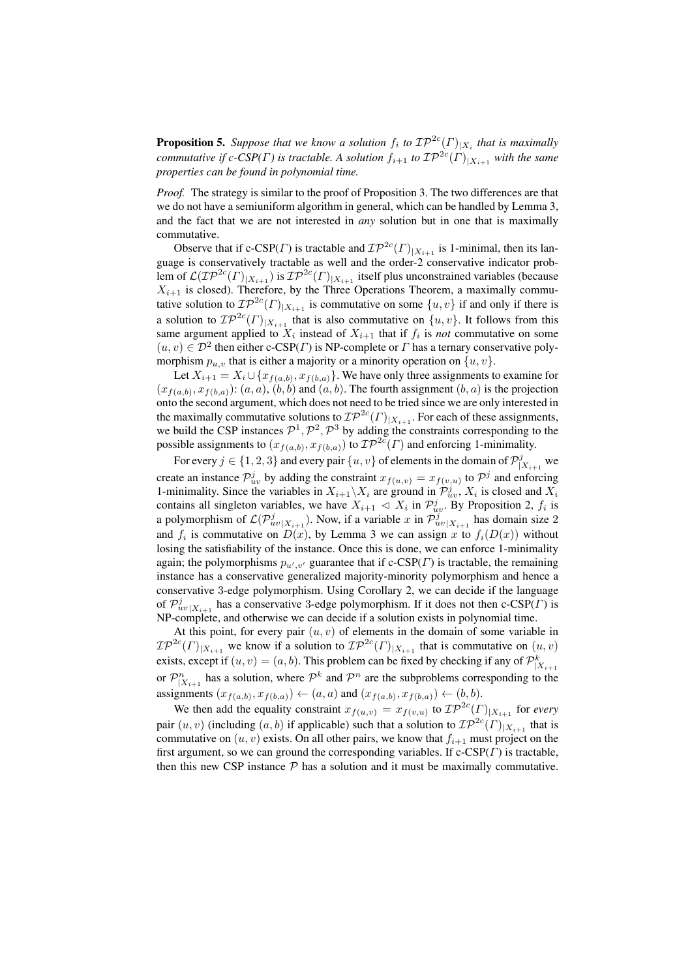**Proposition 5.** Suppose that we know a solution  $f_i$  to  $\mathcal{IP}^{2c}(\Gamma)|_{X_i}$  that is maximally *commutative if c-CSP(Γ) is tractable. A solution*  $f_{i+1}$  *to*  $\mathcal{IP}^{2c}(\Gamma)_{|X_{i+1}}$  *with the same properties can be found in polynomial time.*

*Proof.* The strategy is similar to the proof of Proposition 3. The two differences are that we do not have a semiuniform algorithm in general, which can be handled by Lemma 3, and the fact that we are not interested in *any* solution but in one that is maximally commutative.

Observe that if c-CSP( $\Gamma$ ) is tractable and  $\mathcal{IP}^{2c}(\Gamma)|X_{i+1}$  is 1-minimal, then its language is conservatively tractable as well and the order-2 conservative indicator problem of  $\mathcal{L}(\mathcal{IP}^{2c}(\varGamma)_{|X_{i+1}})$  is  $\mathcal{IP}^{2c}(\varGamma)_{|X_{i+1}}$  itself plus unconstrained variables (because  $X_{i+1}$  is closed). Therefore, by the Three Operations Theorem, a maximally commutative solution to  $\mathcal{IP}^{2c}(\Gamma)|_{X_{i+1}}$  is commutative on some  $\{u, v\}$  if and only if there is a solution to  $\mathcal{IP}^{2c}(\Gamma)|_{X_{i+1}}$  that is also commutative on  $\{u, v\}$ . It follows from this same argument applied to  $X_i$  instead of  $X_{i+1}$  that if  $f_i$  is *not* commutative on some  $(u, v) \in \mathcal{D}^2$  then either c-CSP(*Γ*) is NP-complete or *Γ* has a ternary conservative polymorphism  $p_{u,v}$  that is either a majority or a minority operation on  $\{u,v\}$ .

Let  $X_{i+1} = X_i \cup \{x_{f(a,b)}, x_{f(b,a)}\}.$  We have only three assignments to examine for  $(x_{f(a,b)}, x_{f(b,a)})$ :  $(a, a)$ ,  $(b, b)$  and  $(a, b)$ . The fourth assignment  $(b, a)$  is the projection onto the second argument, which does not need to be tried since we are only interested in the maximally commutative solutions to  $\mathcal{IP}^{2c}(\Gamma)_{|X_{i+1}}$ . For each of these assignments, we build the CSP instances  $\mathcal{P}^1, \mathcal{P}^2, \mathcal{P}^3$  by adding the constraints corresponding to the possible assignments to  $(x_{f(a,b)}, x_{f(b,a)})$  to  $\mathcal{IP}^{2c}(\Gamma)$  and enforcing 1-minimality.

For every  $j \in \{1, 2, 3\}$  and every pair  $\{u, v\}$  of elements in the domain of  $\mathcal{P}_1^j$  $\int_{|X_{i+1}|}^{j}$  we create an instance  $\mathcal{P}_{uv}^j$  by adding the constraint  $x_{f(u,v)} = x_{f(v,u)}$  to  $\mathcal{P}^j$  and enforcing 1-minimality. Since the variables in  $X_{i+1}\backslash X_i$  are ground in  $\mathcal{P}_{uv}^j$ ,  $X_i$  is closed and  $X_i$ contains all singleton variables, we have  $X_{i+1} \triangleleft X_i$  in  $\mathcal{P}_{uv}^j$ . By Proposition 2,  $f_i$  is a polymorphism of  $\mathcal{L}(\mathcal{P}_{uv|X_{i+1}}^j)$ . Now, if a variable x in  $\mathcal{P}_{uv|X_{i+1}}^j$  has domain size 2 and  $f_i$  is commutative on  $D(x)$ , by Lemma 3 we can assign x to  $f_i(D(x))$  without losing the satisfiability of the instance. Once this is done, we can enforce 1-minimality again; the polymorphisms  $p_{u',v'}$  guarantee that if c-CSP( $\Gamma$ ) is tractable, the remaining instance has a conservative generalized majority-minority polymorphism and hence a conservative 3-edge polymorphism. Using Corollary 2, we can decide if the language of  $\mathcal{P}_{uv|X_{i+1}}^j$  has a conservative 3-edge polymorphism. If it does not then c-CSP( $\Gamma$ ) is NP-complete, and otherwise we can decide if a solution exists in polynomial time.

At this point, for every pair  $(u, v)$  of elements in the domain of some variable in  $\mathcal{IP}^{2c}(\Gamma)|_{X_{i+1}}$  we know if a solution to  $\mathcal{IP}^{2c}(\Gamma)|_{X_{i+1}}$  that is commutative on  $(u, v)$ exists, except if  $(u, v) = (a, b)$ . This problem can be fixed by checking if any of  $\mathcal{P}_{|X_{i+1}}^k$ or  $\mathcal{P}^n_{|X_{i+1}}$  has a solution, where  $\mathcal{P}^k$  and  $\mathcal{P}^n$  are the subproblems corresponding to the assignments  $(x_{f(a,b)}, x_{f(b,a)}) \leftarrow (a, a)$  and  $(x_{f(a,b)}, x_{f(b,a)}) \leftarrow (b, b)$ .

We then add the equality constraint  $x_{f(u,v)} = x_{f(v,u)}$  to  $\mathcal{IP}^{2c}(\Gamma)|_{X_{i+1}}$  for *every* pair  $(u, v)$  (including  $(a, b)$  if applicable) such that a solution to  $\mathcal{IP}^{2c}(\Gamma)|_{X_{i+1}}$  that is commutative on  $(u, v)$  exists. On all other pairs, we know that  $f_{i+1}$  must project on the first argument, so we can ground the corresponding variables. If  $c\text{-CSP}(\Gamma)$  is tractable, then this new CSP instance  $P$  has a solution and it must be maximally commutative.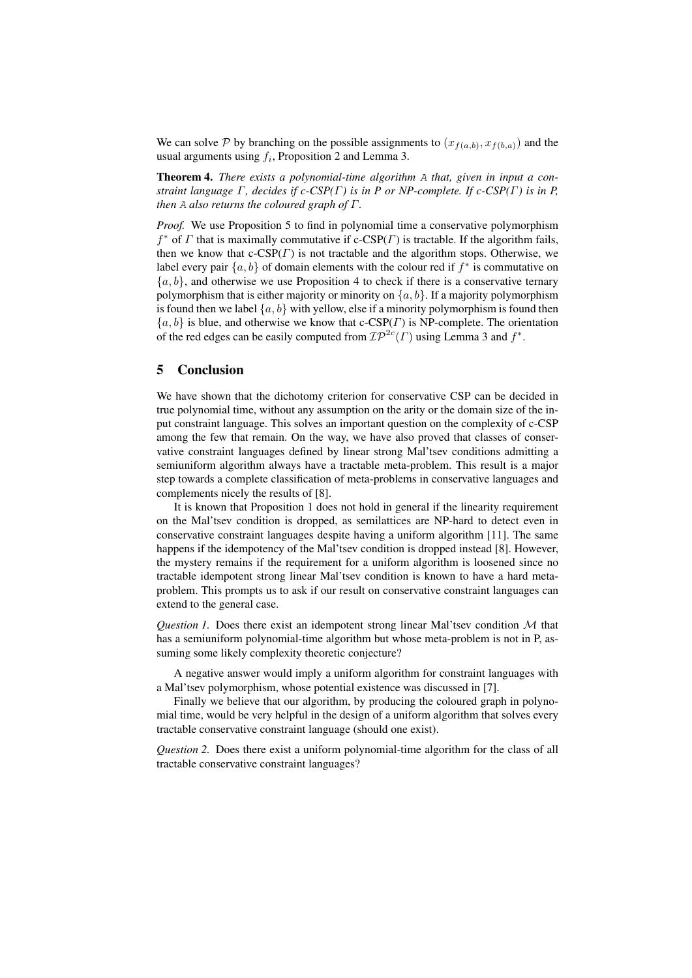We can solve P by branching on the possible assignments to  $(x_{f(a,b)}, x_{f(b,a)})$  and the usual arguments using  $f_i$ , Proposition 2 and Lemma 3.

Theorem 4. *There exists a polynomial-time algorithm* A *that, given in input a constraint language* Γ*, decides if c-CSP(*Γ*) is in P or NP-complete. If c-CSP(*Γ*) is in P, then* A *also returns the coloured graph of* Γ*.*

*Proof.* We use Proposition 5 to find in polynomial time a conservative polymorphism  $f^*$  of  $\Gamma$  that is maximally commutative if c-CSP( $\Gamma$ ) is tractable. If the algorithm fails, then we know that  $c\text{-CSP}(F)$  is not tractable and the algorithm stops. Otherwise, we label every pair  $\{a, b\}$  of domain elements with the colour red if  $f^*$  is commutative on  ${a, b}$ , and otherwise we use Proposition 4 to check if there is a conservative ternary polymorphism that is either majority or minority on  $\{a, b\}$ . If a majority polymorphism is found then we label  $\{a, b\}$  with yellow, else if a minority polymorphism is found then  ${a, b}$  is blue, and otherwise we know that c-CSP( $\Gamma$ ) is NP-complete. The orientation of the red edges can be easily computed from  $\mathcal{IP}^{2c}(\Gamma)$  using Lemma 3 and  $f^*$ .

### 5 Conclusion

We have shown that the dichotomy criterion for conservative CSP can be decided in true polynomial time, without any assumption on the arity or the domain size of the input constraint language. This solves an important question on the complexity of c-CSP among the few that remain. On the way, we have also proved that classes of conservative constraint languages defined by linear strong Mal'tsev conditions admitting a semiuniform algorithm always have a tractable meta-problem. This result is a major step towards a complete classification of meta-problems in conservative languages and complements nicely the results of [8].

It is known that Proposition 1 does not hold in general if the linearity requirement on the Mal'tsev condition is dropped, as semilattices are NP-hard to detect even in conservative constraint languages despite having a uniform algorithm [11]. The same happens if the idempotency of the Mal'tsev condition is dropped instead [8]. However, the mystery remains if the requirement for a uniform algorithm is loosened since no tractable idempotent strong linear Mal'tsev condition is known to have a hard metaproblem. This prompts us to ask if our result on conservative constraint languages can extend to the general case.

*Question 1.* Does there exist an idempotent strong linear Mal'tsev condition  $M$  that has a semiuniform polynomial-time algorithm but whose meta-problem is not in P, assuming some likely complexity theoretic conjecture?

A negative answer would imply a uniform algorithm for constraint languages with a Mal'tsev polymorphism, whose potential existence was discussed in [7].

Finally we believe that our algorithm, by producing the coloured graph in polynomial time, would be very helpful in the design of a uniform algorithm that solves every tractable conservative constraint language (should one exist).

*Question 2.* Does there exist a uniform polynomial-time algorithm for the class of all tractable conservative constraint languages?